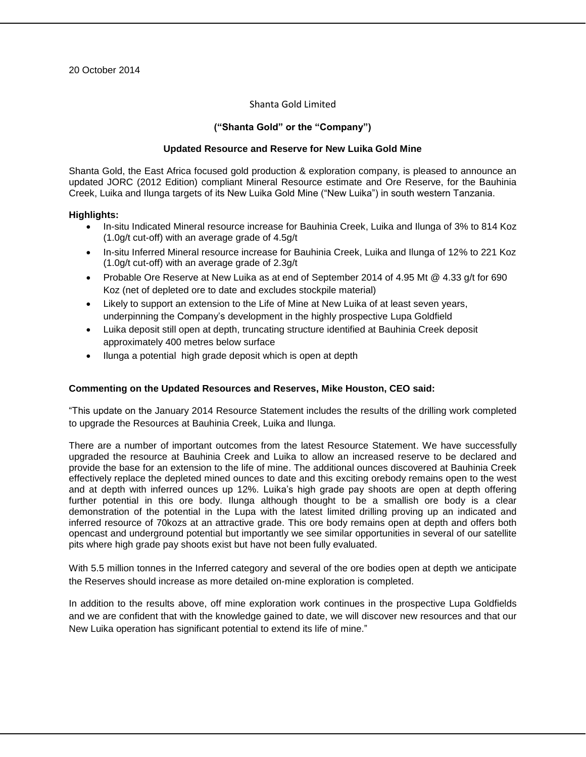#### Shanta Gold Limited

#### **("Shanta Gold" or the "Company")**

#### **Updated Resource and Reserve for New Luika Gold Mine**

Shanta Gold, the East Africa focused gold production & exploration company, is pleased to announce an updated JORC (2012 Edition) compliant Mineral Resource estimate and Ore Reserve, for the Bauhinia Creek, Luika and Ilunga targets of its New Luika Gold Mine ("New Luika") in south western Tanzania.

#### **Highlights:**

- In-situ Indicated Mineral resource increase for Bauhinia Creek, Luika and Ilunga of 3% to 814 Koz (1.0g/t cut-off) with an average grade of 4.5g/t
- In-situ Inferred Mineral resource increase for Bauhinia Creek, Luika and Ilunga of 12% to 221 Koz (1.0g/t cut-off) with an average grade of 2.3g/t
- Probable Ore Reserve at New Luika as at end of September 2014 of 4.95 Mt @ 4.33 g/t for 690 Koz (net of depleted ore to date and excludes stockpile material)
- Likely to support an extension to the Life of Mine at New Luika of at least seven years, underpinning the Company's development in the highly prospective Lupa Goldfield
- Luika deposit still open at depth, truncating structure identified at Bauhinia Creek deposit approximately 400 metres below surface
- Ilunga a potential high grade deposit which is open at depth

#### **Commenting on the Updated Resources and Reserves, Mike Houston, CEO said:**

"This update on the January 2014 Resource Statement includes the results of the drilling work completed to upgrade the Resources at Bauhinia Creek, Luika and Ilunga.

There are a number of important outcomes from the latest Resource Statement. We have successfully upgraded the resource at Bauhinia Creek and Luika to allow an increased reserve to be declared and provide the base for an extension to the life of mine. The additional ounces discovered at Bauhinia Creek effectively replace the depleted mined ounces to date and this exciting orebody remains open to the west and at depth with inferred ounces up 12%. Luika's high grade pay shoots are open at depth offering further potential in this ore body. Ilunga although thought to be a smallish ore body is a clear demonstration of the potential in the Lupa with the latest limited drilling proving up an indicated and inferred resource of 70kozs at an attractive grade. This ore body remains open at depth and offers both opencast and underground potential but importantly we see similar opportunities in several of our satellite pits where high grade pay shoots exist but have not been fully evaluated.

With 5.5 million tonnes in the Inferred category and several of the ore bodies open at depth we anticipate the Reserves should increase as more detailed on-mine exploration is completed.

In addition to the results above, off mine exploration work continues in the prospective Lupa Goldfields and we are confident that with the knowledge gained to date, we will discover new resources and that our New Luika operation has significant potential to extend its life of mine."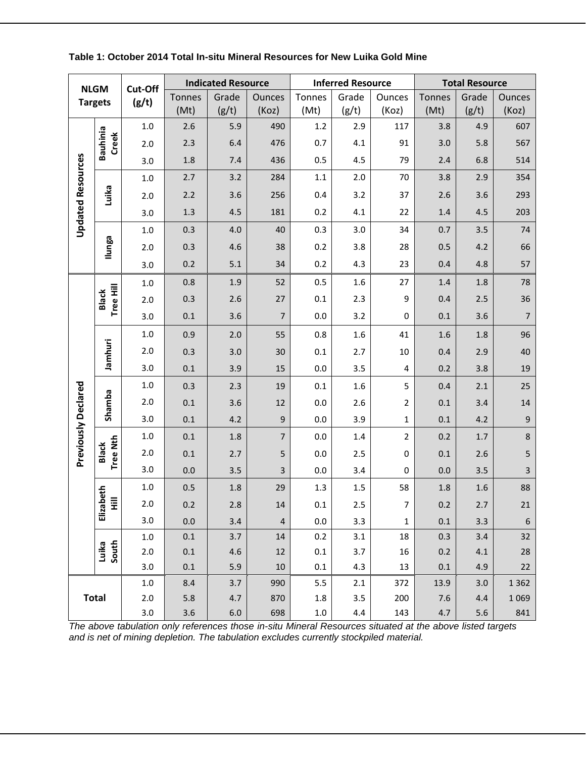| <b>NLGM</b><br><b>Targets</b> |                           | Cut-Off<br>(g/t) | <b>Indicated Resource</b> |                |                        | <b>Inferred Resource</b> |                |                         | <b>Total Resource</b> |                |                 |
|-------------------------------|---------------------------|------------------|---------------------------|----------------|------------------------|--------------------------|----------------|-------------------------|-----------------------|----------------|-----------------|
|                               |                           |                  | Tonnes<br>(Mt)            | Grade<br>(g/t) | <b>Ounces</b><br>(Koz) | Tonnes<br>(Mt)           | Grade<br>(g/t) | Ounces<br>(Koz)         | <b>Tonnes</b><br>(Mt) | Grade<br>(g/t) | Ounces<br>(Koz) |
| <b>Updated Resources</b>      | Bauhinia<br>Creek         | $1.0\,$          | 2.6                       | 5.9            | 490                    | 1.2                      | 2.9            | 117                     | 3.8                   | 4.9            | 607             |
|                               |                           | 2.0              | 2.3                       | 6.4            | 476                    | 0.7                      | 4.1            | 91                      | 3.0                   | 5.8            | 567             |
|                               |                           | 3.0              | 1.8                       | 7.4            | 436                    | 0.5                      | 4.5            | 79                      | 2.4                   | 6.8            | 514             |
|                               | Luika                     | $1.0\,$          | 2.7                       | 3.2            | 284                    | $1.1\,$                  | 2.0            | 70                      | 3.8                   | 2.9            | 354             |
|                               |                           | 2.0              | 2.2                       | 3.6            | 256                    | 0.4                      | 3.2            | 37                      | 2.6                   | 3.6            | 293             |
|                               |                           | 3.0              | 1.3                       | 4.5            | 181                    | 0.2                      | 4.1            | 22                      | 1.4                   | 4.5            | 203             |
|                               |                           | $1.0\,$          | 0.3                       | 4.0            | 40                     | 0.3                      | 3.0            | 34                      | 0.7                   | 3.5            | 74              |
|                               | llunga                    | 2.0              | 0.3                       | 4.6            | 38                     | 0.2                      | 3.8            | 28                      | 0.5                   | 4.2            | 66              |
|                               |                           | 3.0              | 0.2                       | 5.1            | 34                     | 0.2                      | 4.3            | 23                      | 0.4                   | 4.8            | 57              |
|                               |                           | $1.0\,$          | 0.8                       | 1.9            | 52                     | 0.5                      | 1.6            | 27                      | 1.4                   | 1.8            | 78              |
|                               | Tree Hill<br><b>Black</b> | 2.0              | 0.3                       | 2.6            | 27                     | 0.1                      | 2.3            | 9                       | 0.4                   | 2.5            | 36              |
|                               |                           | 3.0              | 0.1                       | 3.6            | $\overline{7}$         | 0.0                      | 3.2            | $\pmb{0}$               | 0.1                   | 3.6            | $\overline{7}$  |
|                               |                           | $1.0\,$          | 0.9                       | 2.0            | 55                     | 0.8                      | 1.6            | 41                      | 1.6                   | 1.8            | 96              |
|                               | Jamhuri                   | 2.0              | 0.3                       | 3.0            | 30                     | 0.1                      | 2.7            | 10                      | 0.4                   | 2.9            | 40              |
|                               |                           | 3.0              | 0.1                       | 3.9            | 15                     | 0.0                      | 3.5            | $\overline{\mathbf{4}}$ | 0.2                   | 3.8            | 19              |
|                               | Shamba                    | $1.0\,$          | 0.3                       | 2.3            | 19                     | 0.1                      | 1.6            | 5                       | 0.4                   | 2.1            | 25              |
|                               |                           | 2.0              | 0.1                       | 3.6            | 12                     | 0.0                      | 2.6            | $\overline{2}$          | 0.1                   | 3.4            | 14              |
|                               |                           | 3.0              | 0.1                       | 4.2            | $9\,$                  | 0.0                      | 3.9            | $\mathbf{1}$            | 0.1                   | 4.2            | $9\,$           |
| <b>Previously Declared</b>    | Tree Nth<br><b>Black</b>  | $1.0\,$          | 0.1                       | 1.8            | $\overline{7}$         | 0.0                      | 1.4            | $\overline{2}$          | 0.2                   | 1.7            | $\bf 8$         |
|                               |                           | 2.0              | 0.1                       | 2.7            | 5                      | 0.0                      | 2.5            | $\pmb{0}$               | 0.1                   | 2.6            | 5               |
|                               |                           | 3.0              | 0.0                       | 3.5            | 3                      | 0.0                      | 3.4            | $\pmb{0}$               | 0.0                   | 3.5            | $\mathsf 3$     |
|                               | Elizabeth<br>토            | $1.0\,$          | 0.5                       | $1.8\,$        | 29                     | 1.3                      | 1.5            | 58                      | 1.8                   | 1.6            | 88              |
|                               |                           | 2.0              | 0.2                       | 2.8            | 14                     | $0.1\,$                  | 2.5            | $\overline{7}$          | 0.2                   | 2.7            | 21              |
|                               |                           | 3.0              | 0.0                       | 3.4            | $\sqrt{4}$             | 0.0                      | 3.3            | $\mathbf 1$             | 0.1                   | 3.3            | $\,$ 6 $\,$     |
|                               | South<br>Luika            | $1.0\,$          | 0.1                       | 3.7            | 14                     | 0.2                      | 3.1            | 18                      | 0.3                   | 3.4            | 32              |
|                               |                           | 2.0              | 0.1                       | 4.6            | $12\,$                 | $0.1\,$                  | 3.7            | 16                      | 0.2                   | 4.1            | 28              |
|                               |                           | 3.0              | 0.1                       | 5.9            | $10\,$                 | $0.1\,$                  | 4.3            | 13                      | 0.1                   | 4.9            | 22              |
|                               |                           | $1.0\,$          | 8.4                       | 3.7            | 990                    | 5.5                      | 2.1            | 372                     | 13.9                  | 3.0            | 1362            |
|                               | <b>Total</b>              | $2.0\,$          | 5.8                       | 4.7            | 870                    | 1.8                      | 3.5            | 200                     | 7.6                   | 4.4            | 1 0 6 9         |
|                               |                           | $3.0\,$          | 3.6                       | $6.0\,$        | 698                    | $1.0\,$                  | 4.4            | 143                     | 4.7                   | $5.6$          | 841             |

## **Table 1: October 2014 Total In-situ Mineral Resources for New Luika Gold Mine**

*The above tabulation only references those in-situ Mineral Resources situated at the above listed targets and is net of mining depletion. The tabulation excludes currently stockpiled material.*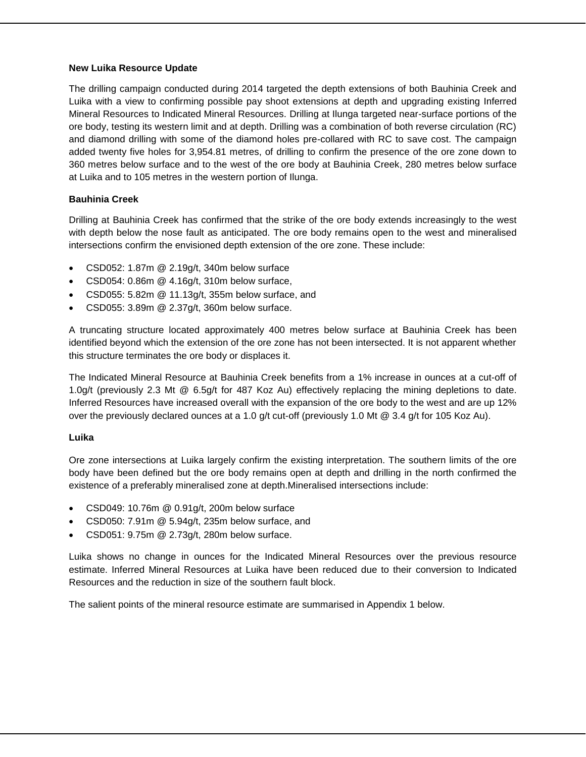#### **New Luika Resource Update**

The drilling campaign conducted during 2014 targeted the depth extensions of both Bauhinia Creek and Luika with a view to confirming possible pay shoot extensions at depth and upgrading existing Inferred Mineral Resources to Indicated Mineral Resources. Drilling at Ilunga targeted near-surface portions of the ore body, testing its western limit and at depth. Drilling was a combination of both reverse circulation (RC) and diamond drilling with some of the diamond holes pre-collared with RC to save cost. The campaign added twenty five holes for 3,954.81 metres, of drilling to confirm the presence of the ore zone down to 360 metres below surface and to the west of the ore body at Bauhinia Creek, 280 metres below surface at Luika and to 105 metres in the western portion of Ilunga.

## **Bauhinia Creek**

Drilling at Bauhinia Creek has confirmed that the strike of the ore body extends increasingly to the west with depth below the nose fault as anticipated. The ore body remains open to the west and mineralised intersections confirm the envisioned depth extension of the ore zone. These include:

- CSD052: 1.87m @ 2.19g/t, 340m below surface
- CSD054: 0.86m @ 4.16g/t, 310m below surface,
- CSD055: 5.82m @ 11.13g/t, 355m below surface, and
- CSD055: 3.89m @ 2.37g/t, 360m below surface.

A truncating structure located approximately 400 metres below surface at Bauhinia Creek has been identified beyond which the extension of the ore zone has not been intersected. It is not apparent whether this structure terminates the ore body or displaces it.

The Indicated Mineral Resource at Bauhinia Creek benefits from a 1% increase in ounces at a cut-off of 1.0g/t (previously 2.3 Mt @ 6.5g/t for 487 Koz Au) effectively replacing the mining depletions to date. Inferred Resources have increased overall with the expansion of the ore body to the west and are up 12% over the previously declared ounces at a 1.0 g/t cut-off (previously 1.0 Mt @ 3.4 g/t for 105 Koz Au).

## **Luika**

Ore zone intersections at Luika largely confirm the existing interpretation. The southern limits of the ore body have been defined but the ore body remains open at depth and drilling in the north confirmed the existence of a preferably mineralised zone at depth.Mineralised intersections include:

- CSD049: 10.76m @ 0.91g/t, 200m below surface
- CSD050: 7.91m @ 5.94g/t, 235m below surface, and
- CSD051: 9.75m @ 2.73g/t, 280m below surface.

Luika shows no change in ounces for the Indicated Mineral Resources over the previous resource estimate. Inferred Mineral Resources at Luika have been reduced due to their conversion to Indicated Resources and the reduction in size of the southern fault block.

The salient points of the mineral resource estimate are summarised in Appendix 1 below.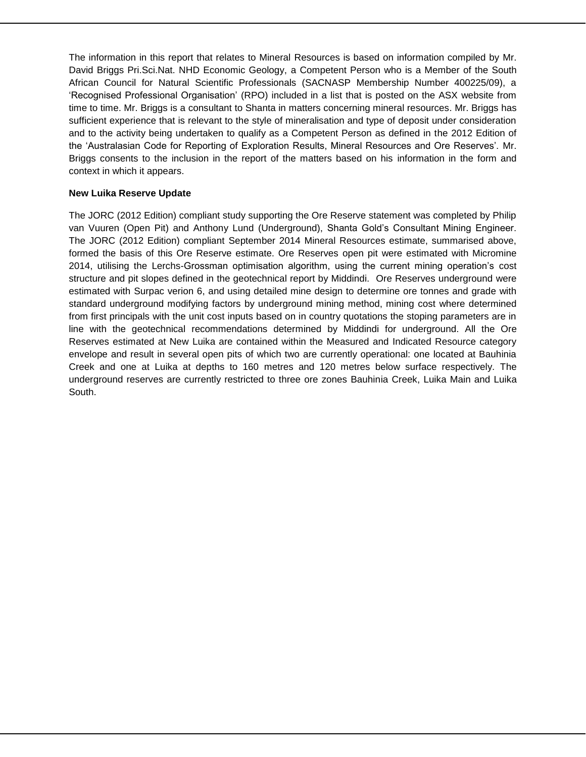The information in this report that relates to Mineral Resources is based on information compiled by Mr. David Briggs Pri.Sci.Nat. NHD Economic Geology, a Competent Person who is a Member of the South African Council for Natural Scientific Professionals (SACNASP Membership Number 400225/09), a 'Recognised Professional Organisation' (RPO) included in a list that is posted on the ASX website from time to time. Mr. Briggs is a consultant to Shanta in matters concerning mineral resources. Mr. Briggs has sufficient experience that is relevant to the style of mineralisation and type of deposit under consideration and to the activity being undertaken to qualify as a Competent Person as defined in the 2012 Edition of the 'Australasian Code for Reporting of Exploration Results, Mineral Resources and Ore Reserves'. Mr. Briggs consents to the inclusion in the report of the matters based on his information in the form and context in which it appears.

#### **New Luika Reserve Update**

The JORC (2012 Edition) compliant study supporting the Ore Reserve statement was completed by Philip van Vuuren (Open Pit) and Anthony Lund (Underground), Shanta Gold's Consultant Mining Engineer. The JORC (2012 Edition) compliant September 2014 Mineral Resources estimate, summarised above, formed the basis of this Ore Reserve estimate. Ore Reserves open pit were estimated with Micromine 2014, utilising the Lerchs-Grossman optimisation algorithm, using the current mining operation's cost structure and pit slopes defined in the geotechnical report by Middindi. Ore Reserves underground were estimated with Surpac verion 6, and using detailed mine design to determine ore tonnes and grade with standard underground modifying factors by underground mining method, mining cost where determined from first principals with the unit cost inputs based on in country quotations the stoping parameters are in line with the geotechnical recommendations determined by Middindi for underground. All the Ore Reserves estimated at New Luika are contained within the Measured and Indicated Resource category envelope and result in several open pits of which two are currently operational: one located at Bauhinia Creek and one at Luika at depths to 160 metres and 120 metres below surface respectively. The underground reserves are currently restricted to three ore zones Bauhinia Creek, Luika Main and Luika South.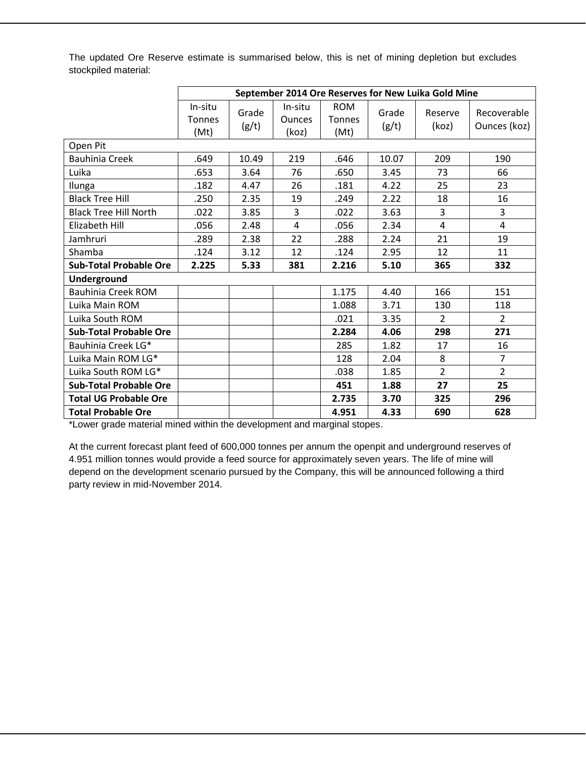The updated Ore Reserve estimate is summarised below, this is net of mining depletion but excludes stockpiled material:

|                               | September 2014 Ore Reserves for New Luika Gold Mine |                |                                   |                                     |                |                  |                             |
|-------------------------------|-----------------------------------------------------|----------------|-----------------------------------|-------------------------------------|----------------|------------------|-----------------------------|
|                               | In-situ<br><b>Tonnes</b><br>(Mt)                    | Grade<br>(g/t) | In-situ<br><b>Ounces</b><br>(koz) | <b>ROM</b><br><b>Tonnes</b><br>(Mt) | Grade<br>(g/t) | Reserve<br>(koz) | Recoverable<br>Ounces (koz) |
| Open Pit                      |                                                     |                |                                   |                                     |                |                  |                             |
| <b>Bauhinia Creek</b>         | .649                                                | 10.49          | 219                               | .646                                | 10.07          | 209              | 190                         |
| Luika                         | .653                                                | 3.64           | 76                                | .650                                | 3.45           | 73               | 66                          |
| Ilunga                        | .182                                                | 4.47           | 26                                | .181                                | 4.22           | 25               | 23                          |
| <b>Black Tree Hill</b>        | .250                                                | 2.35           | 19                                | .249                                | 2.22           | 18               | 16                          |
| <b>Black Tree Hill North</b>  | .022                                                | 3.85           | 3                                 | .022                                | 3.63           | 3                | 3                           |
| Elizabeth Hill                | .056                                                | 2.48           | $\overline{4}$                    | .056                                | 2.34           | $\overline{4}$   | 4                           |
| Jamhruri                      | .289                                                | 2.38           | 22                                | .288                                | 2.24           | 21               | 19                          |
| Shamba                        | .124                                                | 3.12           | 12                                | .124                                | 2.95           | 12               | 11                          |
| <b>Sub-Total Probable Ore</b> | 2.225                                               | 5.33           | 381                               | 2.216                               | 5.10           | 365              | 332                         |
| Underground                   |                                                     |                |                                   |                                     |                |                  |                             |
| <b>Bauhinia Creek ROM</b>     |                                                     |                |                                   | 1.175                               | 4.40           | 166              | 151                         |
| Luika Main ROM                |                                                     |                |                                   | 1.088                               | 3.71           | 130              | 118                         |
| Luika South ROM               |                                                     |                |                                   | .021                                | 3.35           | $\overline{2}$   | $\overline{2}$              |
| <b>Sub-Total Probable Ore</b> |                                                     |                |                                   | 2.284                               | 4.06           | 298              | 271                         |
| Bauhinia Creek LG*            |                                                     |                |                                   | 285                                 | 1.82           | 17               | 16                          |
| Luika Main ROM LG*            |                                                     |                |                                   | 128                                 | 2.04           | 8                | $\overline{7}$              |
| Luika South ROM LG*           |                                                     |                |                                   | .038                                | 1.85           | $\overline{2}$   | $\overline{2}$              |
| <b>Sub-Total Probable Ore</b> |                                                     |                |                                   | 451                                 | 1.88           | 27               | 25                          |
| <b>Total UG Probable Ore</b>  |                                                     |                |                                   | 2.735                               | 3.70           | 325              | 296                         |
| <b>Total Probable Ore</b>     |                                                     |                |                                   | 4.951                               | 4.33           | 690              | 628                         |

\*Lower grade material mined within the development and marginal stopes.

At the current forecast plant feed of 600,000 tonnes per annum the openpit and underground reserves of 4.951 million tonnes would provide a feed source for approximately seven years. The life of mine will depend on the development scenario pursued by the Company, this will be announced following a third party review in mid-November 2014.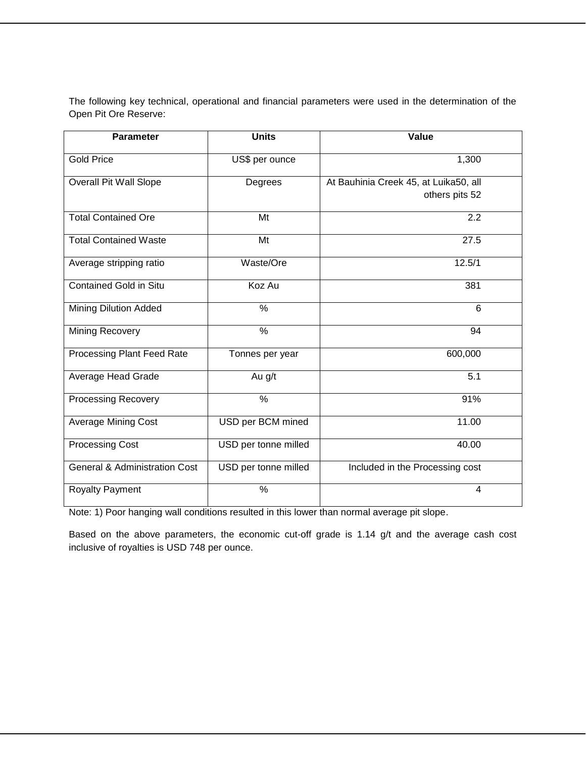The following key technical, operational and financial parameters were used in the determination of the Open Pit Ore Reserve:

| <b>Parameter</b>                         | <b>Units</b>         | Value                                                   |  |
|------------------------------------------|----------------------|---------------------------------------------------------|--|
| <b>Gold Price</b>                        | US\$ per ounce       | 1,300                                                   |  |
| Overall Pit Wall Slope                   | Degrees              | At Bauhinia Creek 45, at Luika50, all<br>others pits 52 |  |
| <b>Total Contained Ore</b>               | Mt                   | 2.2                                                     |  |
| <b>Total Contained Waste</b>             | Mt                   | 27.5                                                    |  |
| Average stripping ratio                  | Waste/Ore            | 12.5/1                                                  |  |
| <b>Contained Gold in Situ</b>            | Koz Au               | 381                                                     |  |
| Mining Dilution Added                    | $\frac{0}{0}$        | 6                                                       |  |
| Mining Recovery                          | $\frac{0}{0}$        | 94                                                      |  |
| Processing Plant Feed Rate               | Tonnes per year      | 600,000                                                 |  |
| Average Head Grade                       | Au g/t               | $\overline{5.1}$                                        |  |
| <b>Processing Recovery</b>               | %                    | 91%                                                     |  |
| <b>Average Mining Cost</b>               | USD per BCM mined    | 11.00                                                   |  |
| <b>Processing Cost</b>                   | USD per tonne milled | 40.00                                                   |  |
| <b>General &amp; Administration Cost</b> | USD per tonne milled | Included in the Processing cost                         |  |
| <b>Royalty Payment</b>                   | $\frac{0}{0}$        | 4                                                       |  |

Note: 1) Poor hanging wall conditions resulted in this lower than normal average pit slope.

Based on the above parameters, the economic cut-off grade is 1.14 g/t and the average cash cost inclusive of royalties is USD 748 per ounce.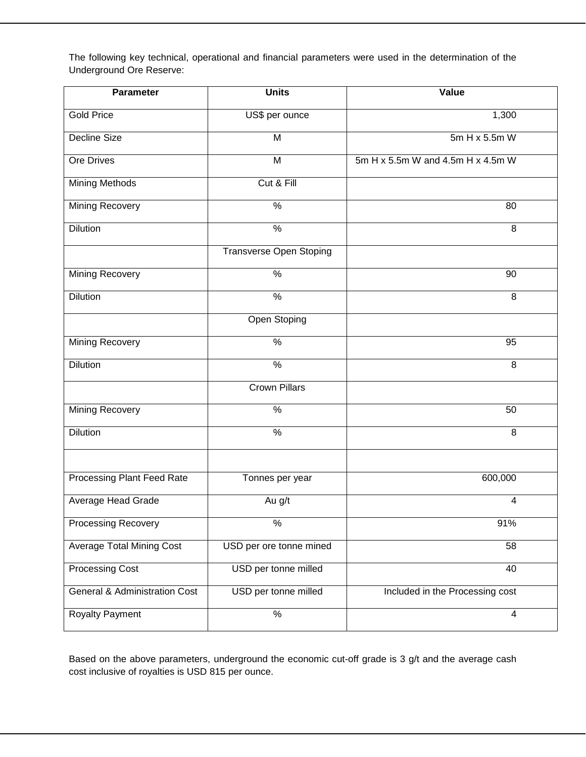The following key technical, operational and financial parameters were used in the determination of the Underground Ore Reserve:

| <b>Parameter</b>                         | <b>Units</b>                   | Value                             |
|------------------------------------------|--------------------------------|-----------------------------------|
| <b>Gold Price</b>                        | US\$ per ounce                 | 1,300                             |
| <b>Decline Size</b>                      | M                              | $5m$ H x 5.5m W                   |
| Ore Drives                               | M                              | 5m H x 5.5m W and 4.5m H x 4.5m W |
| <b>Mining Methods</b>                    | Cut & Fill                     |                                   |
| <b>Mining Recovery</b>                   | $\%$                           | 80                                |
| Dilution                                 | $\%$                           | 8                                 |
|                                          | <b>Transverse Open Stoping</b> |                                   |
| Mining Recovery                          | $\%$                           | 90                                |
| Dilution                                 | $\%$                           | 8                                 |
|                                          | Open Stoping                   |                                   |
| <b>Mining Recovery</b>                   | $\frac{9}{6}$                  | 95                                |
| Dilution                                 | $\%$                           | 8                                 |
|                                          | <b>Crown Pillars</b>           |                                   |
| <b>Mining Recovery</b>                   | $\frac{1}{2}$                  | 50                                |
| Dilution                                 | $\frac{0}{0}$                  | 8                                 |
|                                          |                                |                                   |
| Processing Plant Feed Rate               | Tonnes per year                | 600,000                           |
| <b>Average Head Grade</b>                | Au g/t                         | 4                                 |
| <b>Processing Recovery</b>               | $\%$                           | 91%                               |
| <b>Average Total Mining Cost</b>         | USD per ore tonne mined        | 58                                |
| <b>Processing Cost</b>                   | USD per tonne milled           | 40                                |
| <b>General &amp; Administration Cost</b> | USD per tonne milled           | Included in the Processing cost   |
| <b>Royalty Payment</b>                   | $\%$                           | 4                                 |

Based on the above parameters, underground the economic cut-off grade is 3 g/t and the average cash cost inclusive of royalties is USD 815 per ounce.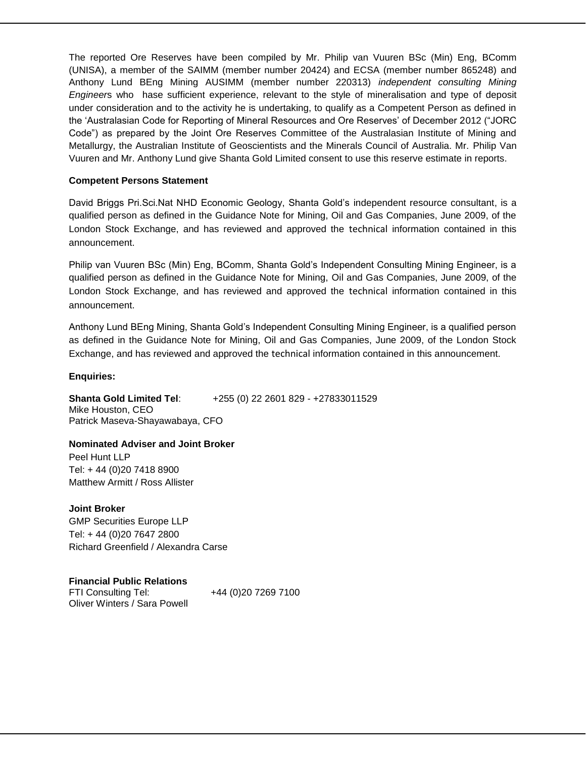The reported Ore Reserves have been compiled by Mr. Philip van Vuuren BSc (Min) Eng, BComm (UNISA), a member of the SAIMM (member number 20424) and ECSA (member number 865248) and Anthony Lund BEng Mining AUSIMM (member number 220313) *independent consulting Mining Engineer*s who hase sufficient experience, relevant to the style of mineralisation and type of deposit under consideration and to the activity he is undertaking, to qualify as a Competent Person as defined in the 'Australasian Code for Reporting of Mineral Resources and Ore Reserves' of December 2012 ("JORC Code") as prepared by the Joint Ore Reserves Committee of the Australasian Institute of Mining and Metallurgy, the Australian Institute of Geoscientists and the Minerals Council of Australia. Mr. Philip Van Vuuren and Mr. Anthony Lund give Shanta Gold Limited consent to use this reserve estimate in reports.

### **Competent Persons Statement**

David Briggs Pri.Sci.Nat NHD Economic Geology, Shanta Gold's independent resource consultant, is a qualified person as defined in the Guidance Note for Mining, Oil and Gas Companies, June 2009, of the London Stock Exchange, and has reviewed and approved the [technical](http://www.investegate.co.uk/shanta-gold-limited--shg-/rns/drill-results-at-new-luika-gold-mine/201309180700112520O/) information contained in this announcement.

Philip van Vuuren BSc (Min) Eng, BComm, Shanta Gold's Independent Consulting Mining Engineer, is a qualified person as defined in the Guidance Note for Mining, Oil and Gas Companies, June 2009, of the London Stock Exchange, and has reviewed and approved the [technical](http://www.investegate.co.uk/shanta-gold-limited--shg-/rns/drill-results-at-new-luika-gold-mine/201309180700112520O/) information contained in this announcement.

Anthony Lund BEng Mining, Shanta Gold's Independent Consulting Mining Engineer, is a qualified person as defined in the Guidance Note for Mining, Oil and Gas Companies, June 2009, of the London Stock Exchange, and has reviewed and approved the [technical](http://www.investegate.co.uk/shanta-gold-limited--shg-/rns/drill-results-at-new-luika-gold-mine/201309180700112520O/) information contained in this announcement.

#### **Enquiries:**

**Shanta Gold Limited Tel**: +255 (0) 22 2601 829 - +27833011529 Mike Houston, CEO Patrick Maseva-Shayawabaya, CFO

**Nominated Adviser and Joint Broker**

Peel Hunt LLP Tel: + 44 (0)20 7418 8900 Matthew Armitt / Ross Allister

## **Joint Broker**

GMP Securities Europe LLP Tel: + 44 (0)20 7647 2800 Richard Greenfield / Alexandra Carse

## **Financial Public Relations**

FTI Consulting Tel: +44 (0)20 7269 7100 Oliver Winters / Sara Powell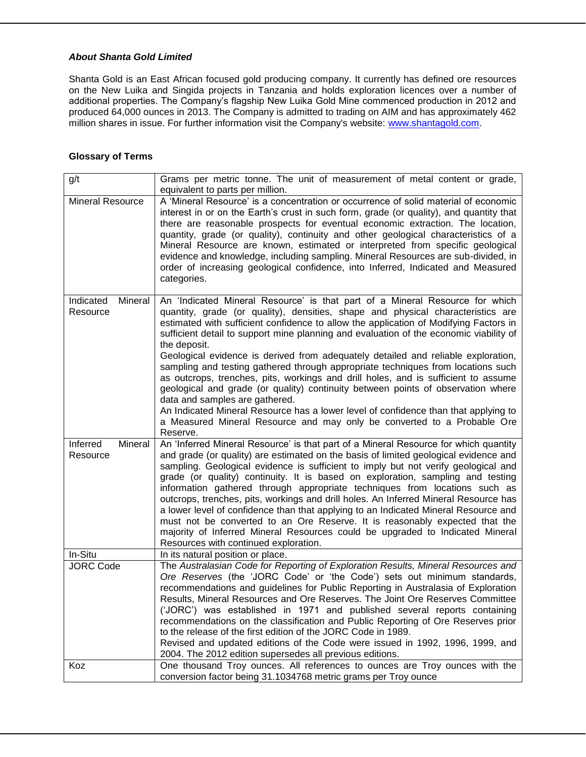#### *About Shanta Gold Limited*

Shanta Gold is an East African focused gold producing company. It currently has defined ore resources on the New Luika and Singida projects in Tanzania and holds exploration licences over a number of additional properties. The Company's flagship New Luika Gold Mine commenced production in 2012 and produced 64,000 ounces in 2013. The Company is admitted to trading on AIM and has approximately 462 million shares in issue. For further information visit the Company's website: [www.shantagold.com.](http://www.shantagold.com/)

#### **Glossary of Terms**

| g/t                              | Grams per metric tonne. The unit of measurement of metal content or grade,<br>equivalent to parts per million.                                                                                                                                                                                                                                                                                                                                                                                                                                                                                                                                                                                                                                                                                                                                                                                                                        |
|----------------------------------|---------------------------------------------------------------------------------------------------------------------------------------------------------------------------------------------------------------------------------------------------------------------------------------------------------------------------------------------------------------------------------------------------------------------------------------------------------------------------------------------------------------------------------------------------------------------------------------------------------------------------------------------------------------------------------------------------------------------------------------------------------------------------------------------------------------------------------------------------------------------------------------------------------------------------------------|
| <b>Mineral Resource</b>          | A 'Mineral Resource' is a concentration or occurrence of solid material of economic<br>interest in or on the Earth's crust in such form, grade (or quality), and quantity that<br>there are reasonable prospects for eventual economic extraction. The location,<br>quantity, grade (or quality), continuity and other geological characteristics of a<br>Mineral Resource are known, estimated or interpreted from specific geological<br>evidence and knowledge, including sampling. Mineral Resources are sub-divided, in<br>order of increasing geological confidence, into Inferred, Indicated and Measured<br>categories.                                                                                                                                                                                                                                                                                                       |
| Indicated<br>Mineral<br>Resource | An 'Indicated Mineral Resource' is that part of a Mineral Resource for which<br>quantity, grade (or quality), densities, shape and physical characteristics are<br>estimated with sufficient confidence to allow the application of Modifying Factors in<br>sufficient detail to support mine planning and evaluation of the economic viability of<br>the deposit.<br>Geological evidence is derived from adequately detailed and reliable exploration,<br>sampling and testing gathered through appropriate techniques from locations such<br>as outcrops, trenches, pits, workings and drill holes, and is sufficient to assume<br>geological and grade (or quality) continuity between points of observation where<br>data and samples are gathered.<br>An Indicated Mineral Resource has a lower level of confidence than that applying to<br>a Measured Mineral Resource and may only be converted to a Probable Ore<br>Reserve. |
| Inferred<br>Mineral<br>Resource  | An 'Inferred Mineral Resource' is that part of a Mineral Resource for which quantity<br>and grade (or quality) are estimated on the basis of limited geological evidence and<br>sampling. Geological evidence is sufficient to imply but not verify geological and<br>grade (or quality) continuity. It is based on exploration, sampling and testing<br>information gathered through appropriate techniques from locations such as<br>outcrops, trenches, pits, workings and drill holes. An Inferred Mineral Resource has<br>a lower level of confidence than that applying to an Indicated Mineral Resource and<br>must not be converted to an Ore Reserve. It is reasonably expected that the<br>majority of Inferred Mineral Resources could be upgraded to Indicated Mineral<br>Resources with continued exploration.                                                                                                           |
| In-Situ                          | In its natural position or place.                                                                                                                                                                                                                                                                                                                                                                                                                                                                                                                                                                                                                                                                                                                                                                                                                                                                                                     |
| <b>JORC Code</b>                 | The Australasian Code for Reporting of Exploration Results, Mineral Resources and<br>Ore Reserves (the 'JORC Code' or 'the Code') sets out minimum standards,<br>recommendations and guidelines for Public Reporting in Australasia of Exploration<br>Results, Mineral Resources and Ore Reserves. The Joint Ore Reserves Committee<br>('JORC') was established in 1971 and published several reports containing<br>recommendations on the classification and Public Reporting of Ore Reserves prior<br>to the release of the first edition of the JORC Code in 1989.<br>Revised and updated editions of the Code were issued in 1992, 1996, 1999, and<br>2004. The 2012 edition supersedes all previous editions.                                                                                                                                                                                                                    |
| Koz                              | One thousand Troy ounces. All references to ounces are Troy ounces with the<br>conversion factor being 31.1034768 metric grams per Troy ounce                                                                                                                                                                                                                                                                                                                                                                                                                                                                                                                                                                                                                                                                                                                                                                                         |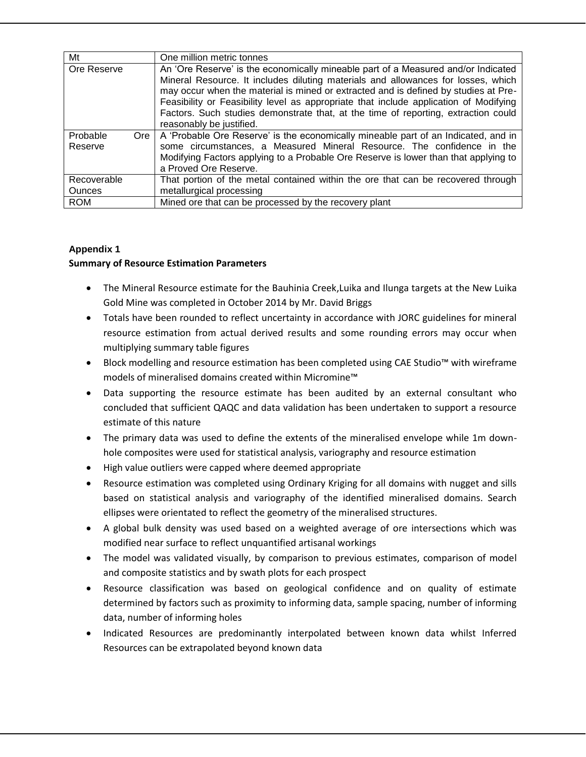| Mt                         | One million metric tonnes                                                                                                                                                                                                                                                                                                                                                                                                                                                |
|----------------------------|--------------------------------------------------------------------------------------------------------------------------------------------------------------------------------------------------------------------------------------------------------------------------------------------------------------------------------------------------------------------------------------------------------------------------------------------------------------------------|
| Ore Reserve                | An 'Ore Reserve' is the economically mineable part of a Measured and/or Indicated<br>Mineral Resource. It includes diluting materials and allowances for losses, which<br>may occur when the material is mined or extracted and is defined by studies at Pre-<br>Feasibility or Feasibility level as appropriate that include application of Modifying<br>Factors. Such studies demonstrate that, at the time of reporting, extraction could<br>reasonably be justified. |
| Probable<br>Ore<br>Reserve | A 'Probable Ore Reserve' is the economically mineable part of an Indicated, and in<br>some circumstances, a Measured Mineral Resource. The confidence in the<br>Modifying Factors applying to a Probable Ore Reserve is lower than that applying to<br>a Proved Ore Reserve.                                                                                                                                                                                             |
| Recoverable                | That portion of the metal contained within the ore that can be recovered through                                                                                                                                                                                                                                                                                                                                                                                         |
| <b>Ounces</b>              | metallurgical processing                                                                                                                                                                                                                                                                                                                                                                                                                                                 |
| <b>ROM</b>                 | Mined ore that can be processed by the recovery plant                                                                                                                                                                                                                                                                                                                                                                                                                    |

# **Appendix 1 Summary of Resource Estimation Parameters**

- The Mineral Resource estimate for the Bauhinia Creek,Luika and Ilunga targets at the New Luika Gold Mine was completed in October 2014 by Mr. David Briggs
- Totals have been rounded to reflect uncertainty in accordance with JORC guidelines for mineral resource estimation from actual derived results and some rounding errors may occur when multiplying summary table figures
- Block modelling and resource estimation has been completed using CAE Studio™ with wireframe models of mineralised domains created within Micromine™
- Data supporting the resource estimate has been audited by an external consultant who concluded that sufficient QAQC and data validation has been undertaken to support a resource estimate of this nature
- The primary data was used to define the extents of the mineralised envelope while 1m downhole composites were used for statistical analysis, variography and resource estimation
- High value outliers were capped where deemed appropriate
- Resource estimation was completed using Ordinary Kriging for all domains with nugget and sills based on statistical analysis and variography of the identified mineralised domains. Search ellipses were orientated to reflect the geometry of the mineralised structures.
- A global bulk density was used based on a weighted average of ore intersections which was modified near surface to reflect unquantified artisanal workings
- The model was validated visually, by comparison to previous estimates, comparison of model and composite statistics and by swath plots for each prospect
- Resource classification was based on geological confidence and on quality of estimate determined by factors such as proximity to informing data, sample spacing, number of informing data, number of informing holes
- Indicated Resources are predominantly interpolated between known data whilst Inferred Resources can be extrapolated beyond known data